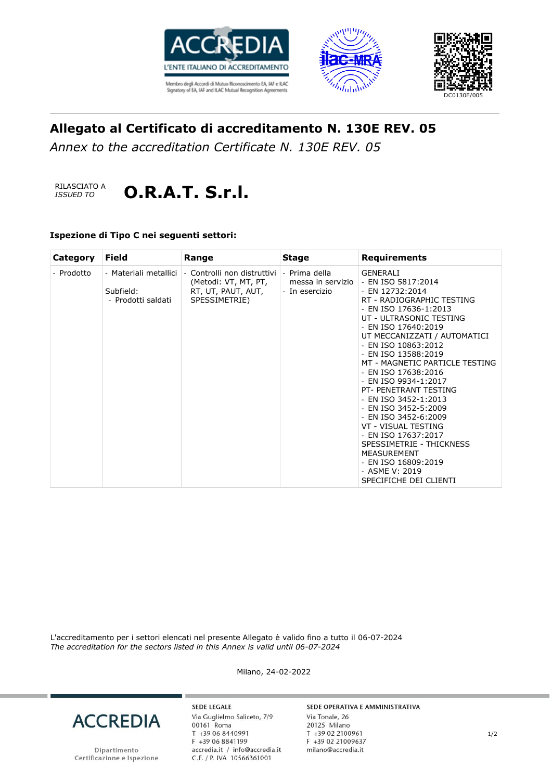





# **Allegato al Certificato di accreditamento N. 130E REV. 05**

*Annex to the accreditation Certificate N. 130E REV. 05*



### **Ispezione di Tipo C nei seguenti settori:**

| Category   | <b>Field</b>                                             | Range                                                                                                                        | <b>Stage</b>   | <b>Requirements</b>                                                                                                                                                                                                                                                                                                                                                                                                                                                                                                                                                                          |
|------------|----------------------------------------------------------|------------------------------------------------------------------------------------------------------------------------------|----------------|----------------------------------------------------------------------------------------------------------------------------------------------------------------------------------------------------------------------------------------------------------------------------------------------------------------------------------------------------------------------------------------------------------------------------------------------------------------------------------------------------------------------------------------------------------------------------------------------|
| - Prodotto | - Materiali metallici<br>Subfield:<br>- Prodotti saldati | - Controlli non distruttivi   - Prima della<br>(Metodi: VT, MT, PT, messa in servizio<br>RT, UT, PAUT, AUT,<br>SPESSIMETRIE) | - In esercizio | GENERALI<br>- EN ISO 5817:2014<br>- EN 12732:2014<br>RT - RADIOGRAPHIC TESTING<br>- EN ISO 17636-1:2013<br>UT - ULTRASONIC TESTING<br>- EN ISO 17640:2019<br>UT MECCANIZZATI / AUTOMATICI<br>- EN ISO 10863:2012<br>- EN ISO 13588:2019<br>MT - MAGNETIC PARTICLE TESTING<br>- EN ISO 17638:2016<br>- EN ISO 9934-1:2017<br>PT- PENETRANT TESTING<br>- EN ISO 3452-1:2013<br>- EN ISO 3452-5:2009<br>- EN ISO 3452-6:2009<br>VT - VISUAL TESTING<br>- EN ISO 17637:2017<br>SPESSIMETRIE - THICKNESS<br><b>MEASUREMENT</b><br>- EN ISO 16809:2019<br>- ASME V: 2019<br>SPECIFICHE DEI CLIENTI |

L'accreditamento per i settori elencati nel presente Allegato è valido fino a tutto il 06-07-2024 *The accreditation for the sectors listed in this Annex is valid until 06-07-2024*

Milano, 24-02-2022



Dipartimento Certificazione e Ispezione

**SEDE LEGALE** Via Guglielmo Saliceto, 7/9 00161 Roma T +39 06 8440991 F +39 06 8841199 accredia.it / info@accredia.it<br>C.F. / P. IVA 10566361001

#### SEDE OPERATIVA E AMMINISTRATIVA

Via Tonale, 26 20125 Milano T +39 02 2100961 F +39 02 21009637 milano@accredia.it